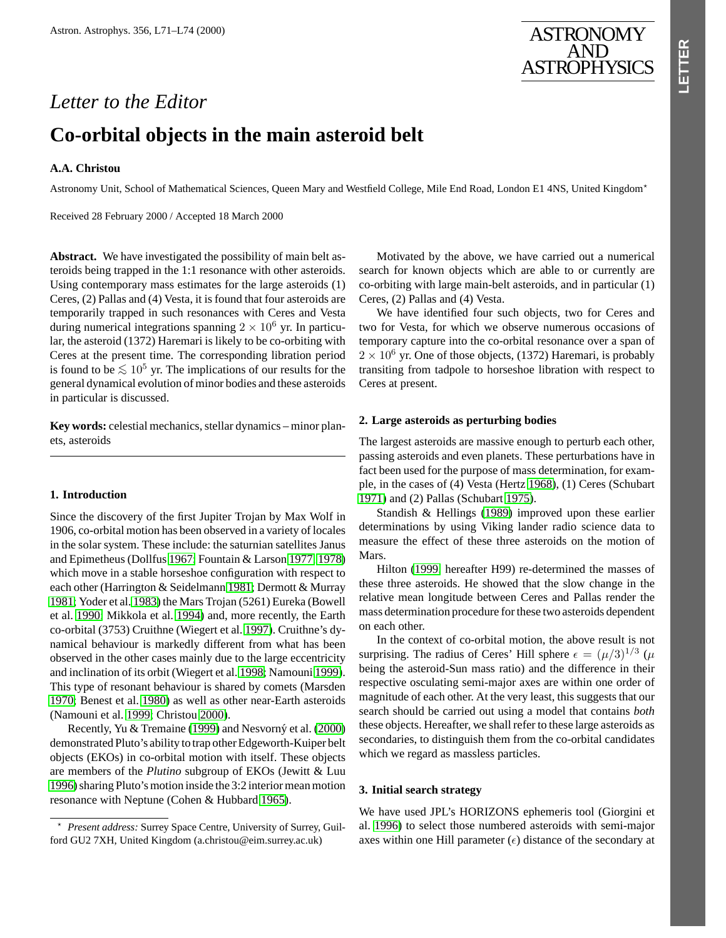## *Letter to the Editor*

# **Co-orbital objects in the main asteroid belt**

## **A.A. Christou**

Astronomy Unit, School of Mathematical Sciences, Queen Mary and Westfield College, Mile End Road, London E1 4NS, United Kingdom?

Received 28 February 2000 / Accepted 18 March 2000

**Abstract.** We have investigated the possibility of main belt asteroids being trapped in the 1:1 resonance with other asteroids. Using contemporary mass estimates for the large asteroids (1) Ceres, (2) Pallas and (4) Vesta, it is found that four asteroids are temporarily trapped in such resonances with Ceres and Vesta during numerical integrations spanning  $2 \times 10^6$  yr. In particular, the asteroid (1372) Haremari is likely to be co-orbiting with Ceres at the present time. The corresponding libration period is found to be  $\leq 10^5$  yr. The implications of our results for the general dynamical evolution of minor bodies and these asteroids in particular is discussed.

**Key words:** celestial mechanics, stellar dynamics – minor planets, asteroids

#### **1. Introduction**

Since the discovery of the first Jupiter Trojan by Max Wolf in 1906, co-orbital motion has been obse[rved in](#page-3-0) a variety of locales [in the](#page-3-0) solar syste[m. The](#page-3-0)se include: the saturnian satellites Janus and [Epimet](#page-3-0)heus (Dollfus 1[967; F](#page-3-0)ountain & Larson 1977, 1978) which move in a stable horseshoe config[uration](#page-3-0) with respect to each other (Harrington & Seidelmann 1981; Dermott & Murray 1981; Yoder et al. 1983) the Mars Trojan (5261) Eureka (Bowell et al. 1990; Mikkola et al. 1994) and, [more re](#page-3-0)cently, th[e Earth](#page-3-0) co-orbital (3753) Cruithne (Wiegert et al. 1997). Cruithne's dy[namic](#page-3-0)al behaviour [is ma](#page-3-0)rkedly different from what has been observed in the [other c](#page-3-0)ases mai[nly du](#page-3-0)e to the large eccentricity and inclination of its orbit (Wi[egert e](#page-3-0)t al. 1998; Namouni [1999\)](#page-3-0). This type of resonant behaviour is shared by comets (Marsden 1970; Benest et al. 1980) as well as other near-Earth asteroids (Namouni et al. 1999; Christou 2000).

[R](#page-3-0)ecently, Yu & Tremaine (1999) and Nesvorný et al. (2000) demonstrated Pluto's ability to trap other Edg[eworth](#page-3-0)-Kuiper belt objects (EKOs) in co-orbital motion with itself. These objects are members of the *Plutino* subgroup of EKOs (Jewitt & Luu 1996) sharing Pluto's motion inside the 3:2 interior mean motion resonance with Neptune (Cohen & Hubbard 1965).

Motivated by the above, we have carried out a numerical search for known objects which are able to or currently are co-orbiting with large main-belt asteroids, and in particular (1) Ceres, (2) Pallas and (4) Vesta.

We have identified four such objects, two for Ceres and two for Vesta, for which we observe numerous occasions of temporary capture into the co-orbital resonance over a span of  $2 \times 10^6$  yr. One of those objects, (1372) Haremari, is probably transiting from tadpole to horseshoe libration with respect to Ceres at present.

### **2. Large asteroids as perturbing [bodies](#page-3-0)**

[The la](#page-3-0)rgest asteroids are massi[ve eno](#page-3-0)ugh to perturb each other, passing asteroids and even [plane](#page-3-0)ts. These perturbations have in fact been used for the purpose of mass determination, for example, in the cases of (4) Vesta (Hertz 1968), (1) Ceres (Schubart 1971) and (2) Pallas (Schubart 1975).

Standis[h & H](#page-3-0)ellings (1989) improved upon these earlier determinations by using Viking lander radio science data to measure the effect of these three asteroids on the motion of **Mars**.

Hilton (1999, hereafter H99) re-determined the masses of these three asteroids. He showed that the slow change in the relative mean longitude between Ceres and Pallas render the mass determination procedure for these two asteroids dependent on each other.

In the context of co-orbital motion, the above result is not surprising. The radius of Ceres' Hill sphere  $\epsilon = (\mu/3)^{1/3}$  ( $\mu$ being the asteroid-Sun mass ratio) and the difference in their respective osculating semi-major axes are within one order of magnitude of each other. At the very least, this suggests that our search should be carried out using a model that contains *both* these objects. Hereafter, we shall refer to these large asteroids as secondaries, to distinguish them from the co-orbital candidates which we regard as massless particles.

#### **3. Initial search strategy**

We have used JPL's HORIZONS ephemeris tool (Giorgini et al. 1996) to select those numbered asteroids with semi-major axes within one Hill parameter  $(\epsilon)$  distance of the secondary at

<sup>?</sup> *Present address:* Surrey Space Centre, University of Surrey, Guilford GU2 7XH, United Kingdom (a.christou@eim.surrey.ac.uk)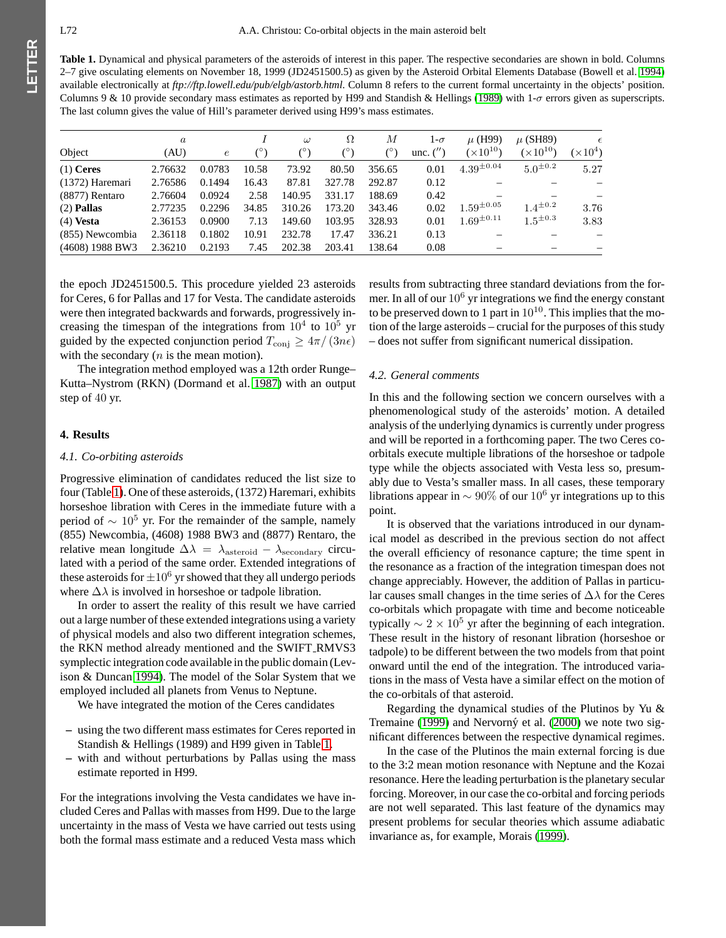<span id="page-1-0"></span>

| Table 1. Dynamical and physical parameters of the asteroids of interest in this paper. The respective secondaries are shown in bold. Columns               |
|------------------------------------------------------------------------------------------------------------------------------------------------------------|
| 2–7 give osculating elements on November 18, 1999 (JD2451500.5) as given by the Asteroid Orbital Elements Database (Bowell et al. 1994)                    |
| available electronically at <i>ftp://ftp.lowell.edu/pub/elgb/astorb.html</i> . Column 8 refers to the current formal uncertainty in the objects' position. |
| Columns 9 & 10 provide secondary mass estimates as reported by H99 and Standish & Hellings (1989) with $1-\sigma$ errors given as superscripts.            |
| The last column gives the value of Hill's parameter derived using H99's mass estimates.                                                                    |

| Object           | $\boldsymbol{a}$<br>(AU) | $\epsilon$ |       | $\omega$ | Ω      | $_{M}$<br>(°) | $1-\sigma$<br>unc. $('')$ | $\mu$ (H99)<br>$(\times 10^{10})$ | $\mu$ (SH89)<br>$(x10^{10})$ | $\epsilon$<br>$(\times 10^4)$ |
|------------------|--------------------------|------------|-------|----------|--------|---------------|---------------------------|-----------------------------------|------------------------------|-------------------------------|
| $(1)$ Ceres      | 2.76632                  | 0.0783     | 10.58 | 73.92    | 80.50  | 356.65        | 0.01                      | $4.39^{\pm0.04}$                  | $5.0^{\pm 0.2}$              | 5.27                          |
| (1372) Haremari  | 2.76586                  | 0.1494     | 16.43 | 87.81    | 327.78 | 292.87        | 0.12                      |                                   |                              | $\overline{\phantom{0}}$      |
| $(8877)$ Rentaro | 2.76604                  | 0.0924     | 2.58  | 140.95   | 331.17 | 188.69        | 0.42                      |                                   |                              |                               |
| $(2)$ Pallas     | 2.77235                  | 0.2296     | 34.85 | 310.26   | 173.20 | 343.46        | 0.02                      | $1.59^{\pm0.05}$                  | $1.4^{\pm 0.2}$              | 3.76                          |
| $(4)$ Vesta      | 2.36153                  | 0.0900     | 7.13  | 149.60   | 103.95 | 328.93        | 0.01                      | $1.69^{\pm0.11}$                  | $1.5^{\pm 0.3}$              | 3.83                          |
| (855) Newcombia  | 2.36118                  | 0.1802     | 10.91 | 232.78   | 17.47  | 336.21        | 0.13                      |                                   |                              |                               |
| (4608) 1988 BW3  | 2.36210                  | 0.2193     | 7.45  | 202.38   | 203.41 | 138.64        | 0.08                      |                                   |                              |                               |

the epoch JD2451500.5. This procedure yielded 23 asteroids for Ceres, 6 for Pallas and 17 for Vesta. The candidate asteroids were then integrated backwards and forwards, progressively increasing the timespan of the integratio[ns from](#page-3-0)  $10^4$  to  $10^5$  yr guided by the expected conjunction period  $T_{\text{conj}} \geq 4\pi/(3n\epsilon)$ with the secondary  $(n$  is the mean motion).

The integration method employed was a 12th order Runge– Kutta–Nystrom (RKN) (Dormand et al. 1987) with an output step of 40 yr.

#### **4. Results**

#### *4.1. Co-orbiting asteroids*

Progressive elimination of candidates reduced the list size to four (Table 1). One of these asteroids, (1372) Haremari, exhibits horseshoe libration with Ceres in the immediate future with a period of  $\sim 10^5$  yr. For the remainder of the sample, namely (855) Newcombia, (4608) 1988 BW3 and (8877) Rentaro, the relative mean longitude  $\Delta \lambda = \lambda_{\text{asteroid}} - \lambda_{\text{secondary}}$  circulated with a period of the same order. Extended integrations of these asteroids for  $\pm 10^6$  yr showed that they all undergo periods where  $\Delta\lambda$  is involved in horseshoe or tadpole libration.

In order to assert the reality of this result we have carried out a large num[ber of t](#page-3-0)hese extended integrations using a variety of physical models and also two different integration schemes, the RKN method already mentioned and the SWIFT RMVS3 symplectic integration code available in the public domain (Levison & Duncan 1994). The model of the Solar System that we employed included all planets from Venus to Neptune.

We have integrated the motion of the Ceres candidates

- **–** using the two different mass estimates for Ceres reported in Standish & Hellings (1989) and H99 given in Table 1.
- **–** with and without perturbations by Pallas using the mass estimate reported in H99.

For the integrations involving the Vesta candidates we have included Ceres and Pallas with masses from H99. Due to the large uncertainty in the mass of Vesta we have carried out tests using both the formal mass estimate and a reduced Vesta mass which

results from subtracting three standard deviations from the former. In all of our  $10^6$  yr integrations we find the energy constant to be preserved down to 1 part in  $10^{10}$ . This implies that the motion of the large asteroids – crucial for the purposes of this study – does not suffer from significant numerical dissipation.

#### *4.2. General comments*

In this and the following section we concern ourselves with a phenomenological study of the asteroids' motion. A detailed analysis of the underlying dynamics is currently under progress and will be reported in a forthcoming paper. The two Ceres coorbitals execute multiple librations of the horseshoe or tadpole type while the objects associated with Vesta less so, presumably due to Vesta's smaller mass. In all cases, these temporary librations appear in  $\sim 90\%$  of our  $10^6$  yr integrations up to this point.

It is observed that the variations introduced in our dynamical model as described in the previous section do not affect the overall efficiency of resonance capture; the time spent in the resonance as a fraction of the integration timespan does not change appreciably. However, the addition of Pallas in particular causes small changes in the time series of  $\Delta\lambda$  for the Ceres co-orbitals which propagate with time and become noticeable typically  $\sim 2 \times 10^5$  yr after the beginning of each integration. These result in the history of resonant libration (horseshoe or tadpole) to be different between the two models from that point onward un[til the](#page-3-0) end of the integratio[n. The](#page-3-0) introduced variations in the mass of Vesta have a similar effect on the motion of the co-orbitals of that asteroid.

Regarding the dynamical studies of the Plutinos by Yu & Tremaine (1999) and Nervorný et al. (2000) we note two significant differences between the respective dynamical regimes.

In the case of the Plutinos the main external forcing is due to the 3:2 mean motion resonance with Neptune and the Kozai resonance. Here the leading perturb[ation is](#page-3-0) the planetary secular forcing. Moreover, in our case the co-orbital and forcing periods are not well separated. This last feature of the dynamics may present problems for secular theories which assume adiabatic invariance as, for example, Morais (1999).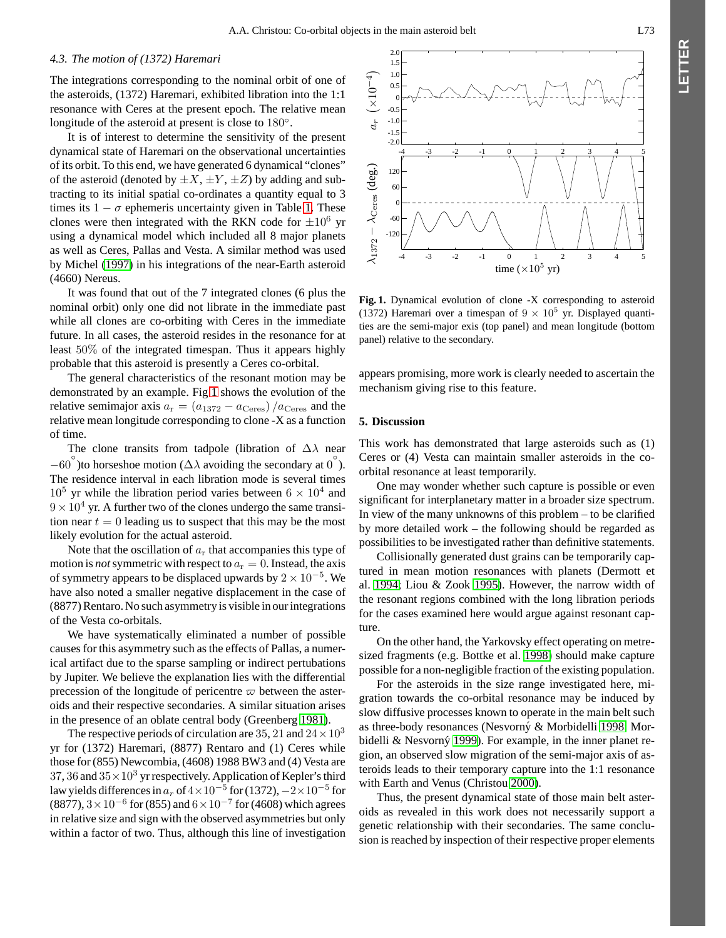#### *4.3. The motion of (1372) Haremari*

The integrations corresponding to the nominal orbit of one of the asteroids, (1372) Haremari, exhibited libration into the 1:1 resonance with Ceres at the present epoch. The relative mean longitude of the asteroid at present is close to 180°.

It is of interest to determine the sensitivity of the present dynamical state of Haremari on the observational unc[ert](#page-1-0)ainties of its orbit. To this end, we have generated 6 dynamical "clones" of the asteroid (denoted by  $\pm X$ ,  $\pm Y$ ,  $\pm Z$ ) by adding and subtracting to its initial spatial co-ordinates a quantity equal to 3 times its  $1 - \sigma$  ephemeris uncertainty given in Table 1. These clones were then integrated with the RKN code for  $\pm 10^6$  yr using a dynamical model which included all 8 major planets as well as Ceres, Pallas and Vesta. A similar method was used by Michel (1997) in his integrations of the near-Earth asteroid (4660) Nereus.

It was found that out of the 7 integrated clones (6 plus the nominal orbit) only one did not librate in the immediate past while all clones are co-orbiting with Ceres in the immediate future. In all cases, the asteroid resides in the resonance for at least 50% of the integrated timespan. Thus it appears highly probable that this asteroid is presently a Ceres co-orbital.

The general characteristics of the resonant motion may be demonstrated by an example. Fig 1 shows the evolution of the relative semimajor axis  $a_r = (a_{1372} - a_{\text{Ceres}})/a_{\text{Ceres}}$  and the relative mean longitude corresponding to clone -X as a function of time.

The clone transits from tadpole (libration of  $\Delta\lambda$  near  $-60^{\degree}$ )to horseshoe motion (Δλ avoiding the secondary at  $0^{\degree}$ ). The residence interval in each libration mode is several times  $10^5$  yr while the libration period varies between  $6 \times 10^4$  and  $9 \times 10^4$  yr. A further two of the clones undergo the same transition near  $t = 0$  leading us to suspect that this may be the most likely evolution for the actual asteroid.

Note that the oscillation of  $a_r$  that accompanies this type of motion is *not* symmetric with respect to  $a_r = 0$ . Instead, the axis of symmetry appears to be displaced upwards by  $2 \times 10^{-5}$ . We have also noted a smaller negative displacement in the case of (8877) Rentaro. No such asymmetry is visible in our integrations of the Vesta co-orbitals.

We have systematically eliminated a number of possible causes for this asymmetry such as the effects of Pallas, a numerical artifact due to the sparse sampling or indirect pe[rtubat](#page-3-0)ions by Jupiter. We believe the explanation lies with the differential precession of the longitude of pericentre  $\varpi$  between the asteroids and their respective secondaries. A similar situation arises in the presence of an oblate central body (Greenberg 1981).

The respective periods of circulation are 35, 21 and  $24 \times 10^3$ yr for (1372) Haremari, (8877) Rentaro and (1) Ceres while those for (855) Newcombia, (4608) 1988 BW3 and (4) Vesta are 37, 36 and  $35 \times 10^3$  yr respectively. Application of Kepler's third law yields differences in  $a_r$  of  $4\times10^{-5}$  for (1372),  $-2\times10^{-5}$  for  $(8877)$ ,  $3 \times 10^{-6}$  for  $(855)$  and  $6 \times 10^{-7}$  for  $(4608)$  which agrees in relative size and sign with the observed asymmetries but only within a factor of two. Thus, although this line of investigation

-4 -3 -2 -1 0 1 2 3 4 5 -120  $-60$  $\epsilon$ 60 120 time  $(\times 10^5 \text{ yr})$  $\lambda_{1372}$  - $-\lambda_{\text{Ceres}}$  (deg.) **Fig. 1.** Dynamical evolution of clone -X corresponding to asteroid

-4 -3 -2 -1 0 1 2 3 4 5

(1372) Haremari over a timespan of  $9 \times 10^5$  yr. Displayed quantities are the semi-major exis (top panel) and mean longitude (bottom panel) relative to the secondary.

appears promising, more work is clearly needed to ascertain the mechanism giving rise to this feature.

#### **5. Discussion**

-2.0 -1.5 -1.0  $-0.5$ 0 0.5 1.0 1.5 2.0

 $a_r$  $(1)$ −4

This work has demonstrated that large asteroids such as (1) Ceres or (4) Vesta can maintain smaller asteroids in the coorbital resonance at least temporarily.

One may wonder whether such capture is possible or even significant for interplanetary matter in a broader size spectrum. In view of the many unknowns of this problem – to be clarified by [more](#page-3-0) detailed work [– the](#page-3-0) following should be regarded as possibilities to be investigated rather than definitive statements.

Collisionally generated dust grains can be temporarily captured in mean motion resonances with planets (Dermott et al. 1994; Liou & Zook 1995). However, the narrow width of the resonant regions combined wi[th the](#page-3-0) long libration periods for the cases examined here would argue against resonant capture.

On the other hand, the Yarkovsky effect operating on metresized fragments (e.g. Bottke et al. 1998) should make capture possible for a non-negligible fraction of the existing [popul](#page-3-0)ation.

For the asteroi[ds in t](#page-3-0)he size range investigated here, migration towards the co-orbital resonance may be induced by slow diffusive processes known to operate in the main belt such as three-body resonances (Nesvorný & Morbidelli 1998; Morbidelli & Nesvorný 1999). For example, in the inner planet region, an observed slow migration of the semi-major axis of asteroids leads to their temporary capture into the 1:1 resonance with Earth and Venus (Christou 2000).

Thus, the present dynamical state of those main belt asteroids as revealed in this work does not necessarily support a genetic relationship with their secondaries. The same conclusion is reached by inspection of their respective proper elements